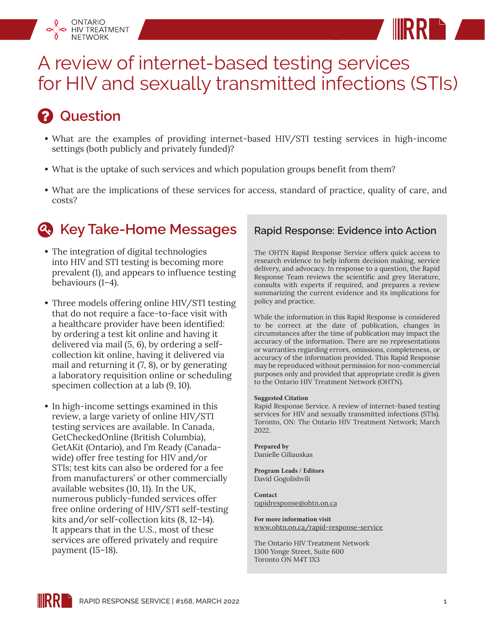

# *<u>P* Question</u>

ONTARIO HIV TREATMENT **NETWORK** 

- **•** What are the examples of providing internet-based HIV/STI testing services in high-income settings (both publicly and privately funded)?
- **•** What is the uptake of such services and which population groups benefit from them?
- **•** What are the implications of these services for access, standard of practice, quality of care, and costs?

## **4. Key Take-Home Messages**

- **•** The integration of digital technologies into HIV and STI testing is becoming more prevalent (1), and appears to influence testing behaviours (1–4).
- **•** Three models offering online HIV/STI testing that do not require a face-to-face visit with a healthcare provider have been identified: by ordering a test kit online and having it delivered via mail (5, 6), by ordering a selfcollection kit online, having it delivered via mail and returning it (7, 8), or by generating a laboratory requisition online or scheduling specimen collection at a lab (9, 10).
- **•** In high-income settings examined in this review, a large variety of online HIV/STI testing services are available. In Canada, GetCheckedOnline (British Columbia), GetAKit (Ontario), and I'm Ready (Canadawide) offer free testing for HIV and/or STIs; test kits can also be ordered for a fee from manufacturers' or other commercially available websites (10, 11). In the UK, numerous publicly-funded services offer free online ordering of HIV/STI self-testing kits and/or self-collection kits (8, 12–14). It appears that in the U.S., most of these services are offered privately and require payment (15–18).

### **Rapid Response: Evidence into Action**

**RR**

The OHTN Rapid Response Service offers quick access to research evidence to help inform decision making, service delivery, and advocacy. In response to a question, the Rapid Response Team reviews the scientific and grey literature, consults with experts if required, and prepares a review summarizing the current evidence and its implications for policy and practice.

While the information in this Rapid Response is considered to be correct at the date of publication, changes in circumstances after the time of publication may impact the accuracy of the information. There are no representations or warranties regarding errors, omissions, completeness, or accuracy of the information provided. This Rapid Response may be reproduced without permission for non-commercial purposes only and provided that appropriate credit is given to the Ontario HIV Treatment Network (OHTN).

#### **Suggested Citation**

Rapid Response Service. A review of internet-based testing services for HIV and sexually transmitted infections (STIs). Toronto, ON: The Ontario HIV Treatment Network; March 2022.

**Prepared by** Danielle Giliauskas

**Program Leads / Editors** David Gogolishvili

**Contact** rapidresponse@ohtn.on.ca

**For more information visit** [www.ohtn.on.ca/rapid-response-service](http://www.ohtn.on.ca/rapid-response-service)

The Ontario HIV Treatment Network 1300 Yonge Street, Suite 600 Toronto ON M4T 1X3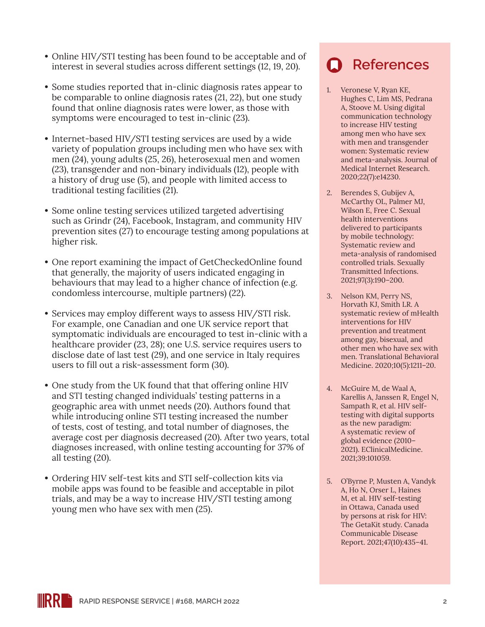- **•** Online HIV/STI testing has been found to be acceptable and of interest in several studies across different settings (12, 19, 20).
- **•** Some studies reported that in-clinic diagnosis rates appear to be comparable to online diagnosis rates (21, 22), but one study found that online diagnosis rates were lower, as those with symptoms were encouraged to test in-clinic (23).
- **•** Internet-based HIV/STI testing services are used by a wide variety of population groups including men who have sex with men (24), young adults (25, 26), heterosexual men and women (23), transgender and non-binary individuals (12), people with a history of drug use (5), and people with limited access to traditional testing facilities (21).
- **•** Some online testing services utilized targeted advertising such as Grindr (24), Facebook, Instagram, and community HIV prevention sites (27) to encourage testing among populations at higher risk.
- **•** One report examining the impact of GetCheckedOnline found that generally, the majority of users indicated engaging in behaviours that may lead to a higher chance of infection (e.g. condomless intercourse, multiple partners) (22).
- **•** Services may employ different ways to assess HIV/STI risk. For example, one Canadian and one UK service report that symptomatic individuals are encouraged to test in-clinic with a healthcare provider (23, 28); one U.S. service requires users to disclose date of last test (29), and one service in Italy requires users to fill out a risk-assessment form (30).
- **•** One study from the UK found that that offering online HIV and STI testing changed individuals' testing patterns in a geographic area with unmet needs (20). Authors found that while introducing online STI testing increased the number of tests, cost of testing, and total number of diagnoses, the average cost per diagnosis decreased (20). After two years, total diagnoses increased, with online testing accounting for 37% of all testing (20).
- **•** Ordering HIV self-test kits and STI self-collection kits via mobile apps was found to be feasible and acceptable in pilot trials, and may be a way to increase HIV/STI testing among young men who have sex with men (25).

## **References**

- 1. Veronese V, Ryan KE, Hughes C, Lim MS, Pedrana A, Stoove M. Using digital communication technology to increase HIV testing among men who have sex with men and transgender women: Systematic review and meta-analysis. Journal of Medical Internet Research. 2020;22(7):e14230.
- 2. Berendes S, Gubijev A, McCarthy OL, Palmer MJ, Wilson E, Free C. Sexual health interventions delivered to participants by mobile technology: Systematic review and meta-analysis of randomised controlled trials. Sexually Transmitted Infections. 2021;97(3):190–200.
- 3. Nelson KM, Perry NS, Horvath KJ, Smith LR. A systematic review of mHealth interventions for HIV prevention and treatment among gay, bisexual, and other men who have sex with men. Translational Behavioral Medicine. 2020;10(5):1211–20.
- 4. McGuire M, de Waal A, Karellis A, Janssen R, Engel N, Sampath R, et al. HIV selftesting with digital supports as the new paradigm: A systematic review of global evidence (2010– 2021). EClinicalMedicine. 2021;39:101059.
- 5. O'Byrne P, Musten A, Vandyk A, Ho N, Orser L, Haines M, et al. HIV self-testing in Ottawa, Canada used by persons at risk for HIV: The GetaKit study. Canada Communicable Disease Report. 2021;47(10):435–41.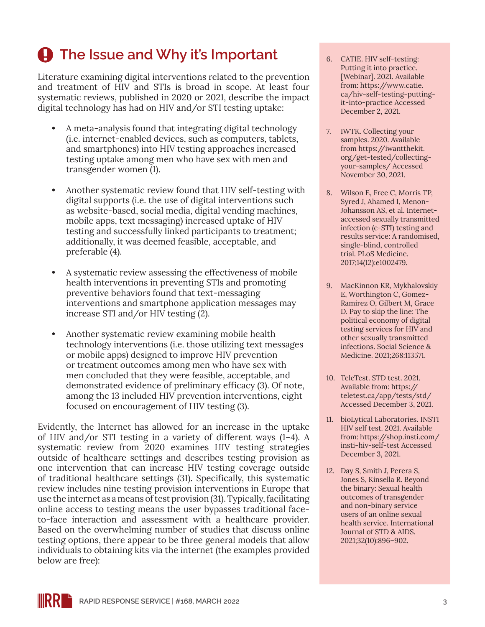# **4** The Issue and Why it's Important

Literature examining digital interventions related to the prevention and treatment of HIV and STIs is broad in scope. At least four systematic reviews, published in 2020 or 2021, describe the impact digital technology has had on HIV and/or STI testing uptake:

- **•** A meta-analysis found that integrating digital technology (i.e. internet-enabled devices, such as computers, tablets, and smartphones) into HIV testing approaches increased testing uptake among men who have sex with men and transgender women (1).
- **•** Another systematic review found that HIV self-testing with digital supports (i.e. the use of digital interventions such as website-based, social media, digital vending machines, mobile apps, text messaging) increased uptake of HIV testing and successfully linked participants to treatment; additionally, it was deemed feasible, acceptable, and preferable (4).
- **•** A systematic review assessing the effectiveness of mobile health interventions in preventing STIs and promoting preventive behaviors found that text-messaging interventions and smartphone application messages may increase STI and/or HIV testing (2).
- **•** Another systematic review examining mobile health technology interventions (i.e. those utilizing text messages or mobile apps) designed to improve HIV prevention or treatment outcomes among men who have sex with men concluded that they were feasible, acceptable, and demonstrated evidence of preliminary efficacy (3). Of note, among the 13 included HIV prevention interventions, eight focused on encouragement of HIV testing (3).

Evidently, the Internet has allowed for an increase in the uptake of HIV and/or STI testing in a variety of different ways (1–4). A systematic review from 2020 examines HIV testing strategies outside of healthcare settings and describes testing provision as one intervention that can increase HIV testing coverage outside of traditional healthcare settings (31). Specifically, this systematic review includes nine testing provision interventions in Europe that use the internet as a means of test provision (31). Typically, facilitating online access to testing means the user bypasses traditional faceto-face interaction and assessment with a healthcare provider. Based on the overwhelming number of studies that discuss online testing options, there appear to be three general models that allow individuals to obtaining kits via the internet (the examples provided below are free):

- 6. CATIE. HIV self-testing: Putting it into practice. [Webinar]. 2021. Available from: [https://www.catie.](https://www.catie.ca/hiv-self-testing-putting-it-into-practice) [ca/hiv-self-testing-putting](https://www.catie.ca/hiv-self-testing-putting-it-into-practice)[it-into-practice](https://www.catie.ca/hiv-self-testing-putting-it-into-practice) Accessed December 2, 2021.
- 7. IWTK. Collecting your samples. 2020. Available from [https://iwantthekit.](https://iwantthekit.org/get-tested/collecting-your-samples/) [org/get-tested/collecting](https://iwantthekit.org/get-tested/collecting-your-samples/)[your-samples/](https://iwantthekit.org/get-tested/collecting-your-samples/) Accessed November 30, 2021.
- 8. Wilson E, Free C, Morris TP, Syred J, Ahamed I, Menon-Johansson AS, et al. Internetaccessed sexually transmitted infection (e-STI) testing and results service: A randomised, single-blind, controlled trial. PLoS Medicine. 2017;14(12):e1002479.
- 9. MacKinnon KR, Mykhalovskiy E, Worthington C, Gomez-Ramirez O, Gilbert M, Grace D. Pay to skip the line: The political economy of digital testing services for HIV and other sexually transmitted infections. Social Science & Medicine. 2021;268:113571.
- 10. TeleTest. STD test. 2021. Available from: [https://](https://teletest.ca/app/tests/std/) [teletest.ca/app/tests/std/](https://teletest.ca/app/tests/std/) Accessed December 3, 2021.
- 11. bioLytical Laboratories. INSTI HIV self test. 2021. Available from: [https://shop.insti.com/](https://shop.insti.com/insti-hiv-self-test) [insti-hiv-self-test](https://shop.insti.com/insti-hiv-self-test) Accessed December 3, 2021.
- 12. Day S, Smith J, Perera S, Jones S, Kinsella R. Beyond the binary: Sexual health outcomes of transgender and non-binary service users of an online sexual health service. International Journal of STD & AIDS. 2021;32(10):896–902.

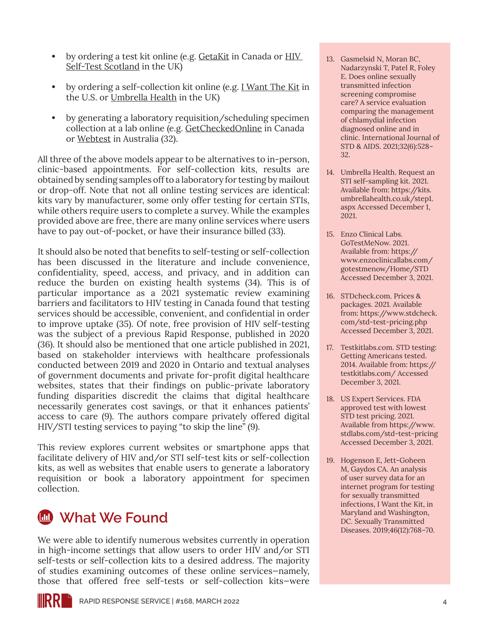- **•** by ordering a test kit online (e.g. [GetaKit](https://getakit.ca/) in Canada or [HIV](https://www.hivtest.scot/)  [Self-Test Scotland](https://www.hivtest.scot/) in the UK)
- **•** by ordering a self-collection kit online (e.g. [I Want The Kit](https://iwantthekit.org/) in the U.S. or [Umbrella Health](https://umbrellahealth.co.uk/self-sampling-kits/) in the UK)
- **•** by generating a laboratory requisition/scheduling specimen collection at a lab online (e.g. [GetCheckedOnline](https://getcheckedonline.com/) in Canada or [Webtest](https://www.qld.gov.au/health/staying-healthy/sexual-health/chlamydia-test/about-13health-webtest) in Australia (32).

All three of the above models appear to be alternatives to in-person, clinic-based appointments. For self-collection kits, results are obtained by sending samples off to a laboratory for testing by mailout or drop-off. Note that not all online testing services are identical: kits vary by manufacturer, some only offer testing for certain STIs, while others require users to complete a survey. While the examples provided above are free, there are many online services where users have to pay out-of-pocket, or have their insurance billed (33).

It should also be noted that benefits to self-testing or self-collection has been discussed in the literature and include convenience, confidentiality, speed, access, and privacy, and in addition can reduce the burden on existing health systems (34). This is of particular importance as a 2021 systematic review examining barriers and facilitators to HIV testing in Canada found that testing services should be accessible, convenient, and confidential in order to improve uptake (35). Of note, free provision of HIV self-testing was the subject of a previous Rapid Response, published in 2020 (36). It should also be mentioned that one article published in 2021, based on stakeholder interviews with healthcare professionals conducted between 2019 and 2020 in Ontario and textual analyses of government documents and private for-profit digital healthcare websites, states that their findings on public-private laboratory funding disparities discredit the claims that digital healthcare necessarily generates cost savings, or that it enhances patients' access to care (9). The authors compare privately offered digital HIV/STI testing services to paying "to skip the line" (9).

This review explores current websites or smartphone apps that facilitate delivery of HIV and/or STI self-test kits or self-collection kits, as well as websites that enable users to generate a laboratory requisition or book a laboratory appointment for specimen collection.

## **What We Found**

We were able to identify numerous websites currently in operation in high-income settings that allow users to order HIV and/or STI self-tests or self-collection kits to a desired address. The majority of studies examining outcomes of these online services—namely, those that offered free self-tests or self-collection kits—were

- 13. Gasmelsid N, Moran BC, Nadarzynski T, Patel R, Foley E. Does online sexually transmitted infection screening compromise care? A service evaluation comparing the management of chlamydial infection diagnosed online and in clinic. International Journal of STD & AIDS. 2021;32(6):528– 32.
- 14. Umbrella Health. Request an STI self-sampling kit. 2021. Available from: [https://kits.](https://kits.umbrellahealth.co.uk/step1.aspx) [umbrellahealth.co.uk/step1.](https://kits.umbrellahealth.co.uk/step1.aspx) [aspx](https://kits.umbrellahealth.co.uk/step1.aspx) Accessed December 1, 2021.
- 15. Enzo Clinical Labs. GoTestMeNow. 2021. Available from: [https://](https://www.enzoclinicallabs.com/gotestmenow/Home/STD) [www.enzoclinicallabs.com/](https://www.enzoclinicallabs.com/gotestmenow/Home/STD) [gotestmenow/Home/STD](https://www.enzoclinicallabs.com/gotestmenow/Home/STD) Accessed December 3, 2021.
- 16. STDcheck.com. Prices & packages. 2021. Available from: [https://www.stdcheck.](https://www.stdcheck.com/std-test-pricing.php) [com/std-test-pricing.php](https://www.stdcheck.com/std-test-pricing.php) Accessed December 3, 2021.
- 17. Testkitlabs.com. STD testing: Getting Americans tested. 2014. Available from: [https://](https://testkitlabs.com/) [testkitlabs.com/](https://testkitlabs.com/) Accessed December 3, 2021.
- 18. US Expert Services. FDA approved test with lowest STD test pricing. 2021. Available from [https://www.](https://www.stdlabs.com/std-test-pricing) [stdlabs.com/std-test-pricing](https://www.stdlabs.com/std-test-pricing) Accessed December 3, 2021.
- 19. Hogenson E, Jett-Goheen M, Gaydos CA. An analysis of user survey data for an internet program for testing for sexually transmitted infections, I Want the Kit, in Maryland and Washington, DC. Sexually Transmitted Diseases. 2019;46(12):768–70.

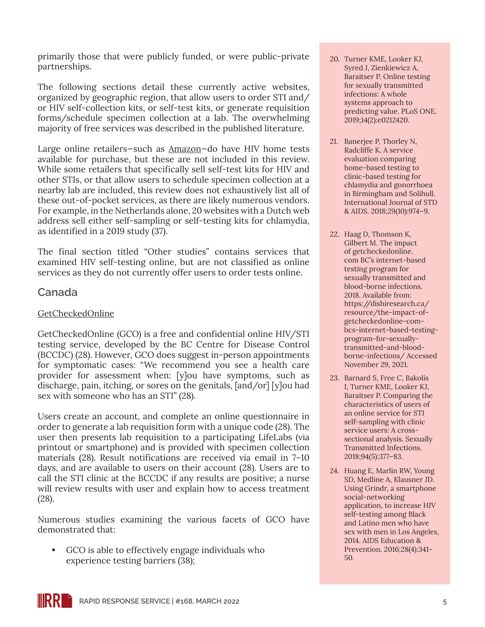primarily those that were publicly funded, or were public-private partnerships.

The following sections detail these currently active websites, organized by geographic region, that allow users to order STI and/ or HIV self-collection kits, or self-test kits, or generate requisition forms/schedule specimen collection at a lab. The overwhelming majority of free services was described in the published literature.

Large online retailers—such as [Amazon](https://www.amazon.com/Oraquick-HIV-Test-in-Home/dp/B009LRVC0K/ref=sr_1_2?keywords=hiv+testing+kit&qid=1638552146&sr=8-2)—do have HIV home tests available for purchase, but these are not included in this review. While some retailers that specifically sell self-test kits for HIV and other STIs, or that allow users to schedule specimen collection at a nearby lab are included, this review does not exhaustively list all of these out-of-pocket services, as there are likely numerous vendors. For example, in the Netherlands alone, 20 websites with a Dutch web address sell either self-sampling or self-testing kits for chlamydia, as identified in a 2019 study (37).

The final section titled "Other studies" contains services that examined HIV self-testing online, but are not classified as online services as they do not currently offer users to order tests online.

#### **Canada**

#### [GetCheckedOnline](https://getcheckedonline.com/Pages/default.aspx)

GetCheckedOnline (GCO) is a free and confidential online HIV/STI testing service, developed by the BC Centre for Disease Control (BCCDC) (28). However, GCO does suggest in-person appointments for symptomatic cases: "We recommend you see a health care provider for assessment when: [y]ou have symptoms, such as discharge, pain, itching, or sores on the genitals, [and/or] [y]ou had sex with someone who has an STI" (28).

Users create an account, and complete an online questionnaire in order to generate a lab requisition form with a unique code (28). The user then presents lab requisition to a participating LifeLabs (via printout or smartphone) and is provided with specimen collection materials (28). Result notifications are received via email in 7–10 days, and are available to users on their account (28). Users are to call the STI clinic at the BCCDC if any results are positive; a nurse will review results with user and explain how to access treatment (28).

Numerous studies examining the various facets of GCO have demonstrated that:

**•** GCO is able to effectively engage individuals who experience testing barriers (38);

- 20. Turner KME, Looker KJ, Syred J, Zienkiewicz A, Baraitser P. Online testing for sexually transmitted infections: A whole systems approach to predicting value. PLoS ONE. 2019;14(2):e0212420.
- 21. Banerjee P, Thorley N, Radcliffe K. A service evaluation comparing home-based testing to clinic-based testing for chlamydia and gonorrhoea in Birmingham and Solihull. International Journal of STD & AIDS. 2018;29(10):974–9.
- 22. Haag D, Thomson K, Gilbert M. The impact of getcheckedonline. com BC's internet-based testing program for sexually transmitted and blood-borne infections. 2018. Available from: [https://dishiresearch.ca/](https://dishiresearch.ca/resource/the-impact-of-getcheckedonline-com-bcs-internet-based-testing-program-for-sexually-transmitted-and-blood-borne-infections/) [resource/the-impact-of](https://dishiresearch.ca/resource/the-impact-of-getcheckedonline-com-bcs-internet-based-testing-program-for-sexually-transmitted-and-blood-borne-infections/)[getcheckedonline-com](https://dishiresearch.ca/resource/the-impact-of-getcheckedonline-com-bcs-internet-based-testing-program-for-sexually-transmitted-and-blood-borne-infections/)[bcs-internet-based-testing](https://dishiresearch.ca/resource/the-impact-of-getcheckedonline-com-bcs-internet-based-testing-program-for-sexually-transmitted-and-blood-borne-infections/)[program-for-sexually](https://dishiresearch.ca/resource/the-impact-of-getcheckedonline-com-bcs-internet-based-testing-program-for-sexually-transmitted-and-blood-borne-infections/)[transmitted-and-blood](https://dishiresearch.ca/resource/the-impact-of-getcheckedonline-com-bcs-internet-based-testing-program-for-sexually-transmitted-and-blood-borne-infections/)[borne-infections/](https://dishiresearch.ca/resource/the-impact-of-getcheckedonline-com-bcs-internet-based-testing-program-for-sexually-transmitted-and-blood-borne-infections/) Accessed November 29, 2021.
- 23. Barnard S, Free C, Bakolis I, Turner KME, Looker KJ, Baraitser P. Comparing the characteristics of users of an online service for STI self-sampling with clinic service users: A crosssectional analysis. Sexually Transmitted Infections. 2018;94(5):377–83.
- 24. Huang E, Marlin RW, Young SD, Medline A, Klausner JD. Using Grindr, a smartphone social-networking application, to increase HIV self-testing among Black and Latino men who have sex with men in Los Angeles, 2014. AIDS Education & Prevention. 2016;28(4):341– 50.

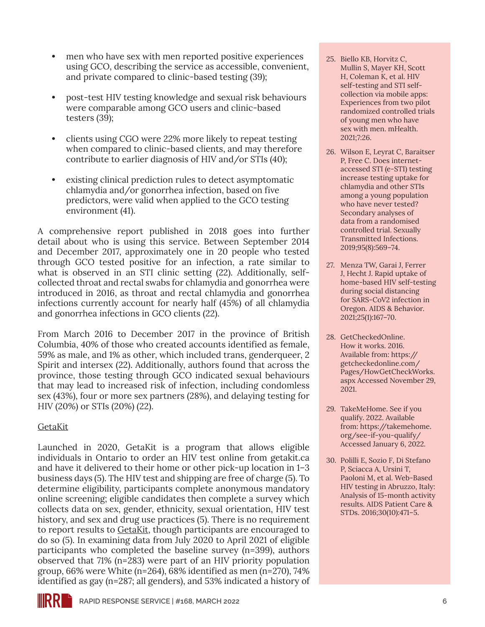- **•** men who have sex with men reported positive experiences using GCO, describing the service as accessible, convenient, and private compared to clinic-based testing (39);
- **•** post-test HIV testing knowledge and sexual risk behaviours were comparable among GCO users and clinic-based testers (39);
- **•** clients using CGO were 22% more likely to repeat testing when compared to clinic-based clients, and may therefore contribute to earlier diagnosis of HIV and/or STIs (40);
- **•** existing clinical prediction rules to detect asymptomatic chlamydia and/or gonorrhea infection, based on five predictors, were valid when applied to the GCO testing environment (41).

A comprehensive report published in 2018 goes into further detail about who is using this service. Between September 2014 and December 2017, approximately one in 20 people who tested through GCO tested positive for an infection, a rate similar to what is observed in an STI clinic setting (22). Additionally, selfcollected throat and rectal swabs for chlamydia and gonorrhea were introduced in 2016, as throat and rectal chlamydia and gonorrhea infections currently account for nearly half (45%) of all chlamydia and gonorrhea infections in GCO clients (22).

From March 2016 to December 2017 in the province of British Columbia, 40% of those who created accounts identified as female, 59% as male, and 1% as other, which included trans, genderqueer, 2 Spirit and intersex (22). Additionally, authors found that across the province, those testing through GCO indicated sexual behaviours that may lead to increased risk of infection, including condomless sex (43%), four or more sex partners (28%), and delaying testing for HIV (20%) or STIs (20%) (22).

#### [GetaKit](https://getakit.ca/)

Launched in 2020, GetaKit is a program that allows eligible individuals in Ontario to order an HIV test online from getakit.ca and have it delivered to their home or other pick-up location in 1–3 business days (5). The HIV test and shipping are free of charge (5). To determine eligibility, participants complete anonymous mandatory online screening; eligible candidates then complete a survey which collects data on sex, gender, ethnicity, sexual orientation, HIV test history, and sex and drug use practices (5). There is no requirement to report results to [GetaKit](https://getakit.ca/), though participants are encouraged to do so (5). In examining data from July 2020 to April 2021 of eligible participants who completed the baseline survey (n=399), authors observed that 71% (n=283) were part of an HIV priority population group, 66% were White (n=264), 68% identified as men (n=270), 74% identified as gay (n=287; all genders), and 53% indicated a history of

- 25. Biello KB, Horvitz C, Mullin S, Mayer KH, Scott H, Coleman K, et al. HIV self-testing and STI selfcollection via mobile apps: Experiences from two pilot randomized controlled trials of young men who have sex with men. mHealth. 2021;7:26.
- 26. Wilson E, Leyrat C, Baraitser P, Free C. Does internetaccessed STI (e-STI) testing increase testing uptake for chlamydia and other STIs among a young population who have never tested? Secondary analyses of data from a randomised controlled trial. Sexually Transmitted Infections. 2019;95(8):569–74.
- 27. Menza TW, Garai J, Ferrer J, Hecht J. Rapid uptake of home-based HIV self-testing during social distancing for SARS-CoV2 infection in Oregon. AIDS & Behavior. 2021;25(1):167–70.
- 28. GetCheckedOnline. How it works. 2016. Available from: [https://](https://getcheckedonline.com/Pages/HowGetCheckWorks.aspx) [getcheckedonline.com/](https://getcheckedonline.com/Pages/HowGetCheckWorks.aspx) [Pages/HowGetCheckWorks.](https://getcheckedonline.com/Pages/HowGetCheckWorks.aspx) [aspx](https://getcheckedonline.com/Pages/HowGetCheckWorks.aspx) Accessed November 29, 2021.
- 29. TakeMeHome. See if you qualify. 2022. Available from: [https://takemehome.](https://takemehome.org/see-if-you-qualify/) [org/see-if-you-qualify/](https://takemehome.org/see-if-you-qualify/) Accessed January 6, 2022.
- 30. Polilli E, Sozio F, Di Stefano P, Sciacca A, Ursini T, Paoloni M, et al. Web-Based HIV testing in Abruzzo, Italy: Analysis of 15-month activity results. AIDS Patient Care & STDs. 2016;30(10):471–5.

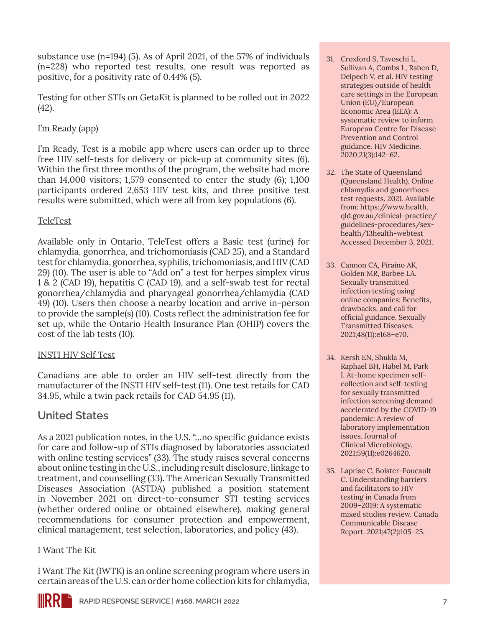substance use (n=194) (5). As of April 2021, of the 57% of individuals (n=228) who reported test results, one result was reported as positive, for a positivity rate of 0.44% (5).

Testing for other STIs on GetaKit is planned to be rolled out in 2022 (42).

### [I'm Ready](https://www.readytoknow.ca/) (app)

I'm Ready, Test is a mobile app where users can order up to three free HIV self-tests for delivery or pick-up at community sites (6). Within the first three months of the program, the website had more than 14,000 visitors; 1,579 consented to enter the study (6); 1,100 participants ordered 2,653 HIV test kits, and three positive test results were submitted, which were all from key populations (6).

#### [TeleTest](https://teletest.ca/)

Available only in Ontario, TeleTest offers a Basic test (urine) for chlamydia, gonorrhea, and trichomoniasis (CAD 25), and a Standard test for chlamydia, gonorrhea, syphilis, trichomoniasis, and HIV (CAD 29) (10). The user is able to "Add on" a test for herpes simplex virus 1 & 2 (CAD 19), hepatitis C (CAD 19), and a self-swab test for rectal gonorrhea/chlamydia and pharyngeal gonorrhea/chlamydia (CAD 49) (10). Users then choose a nearby location and arrive in-person to provide the sample(s) (10). Costs reflect the administration fee for set up, while the Ontario Health Insurance Plan (OHIP) covers the cost of the lab tests (10).

#### [INSTI HIV Self Test](https://www.insti.com/hiv-self-test/)

Canadians are able to order an HIV self-test directly from the manufacturer of the INSTI HIV self-test (11). One test retails for CAD 34.95, while a twin pack retails for CAD 54.95 (11).

### **United States**

As a 2021 publication notes, in the U.S. "…no specific guidance exists for care and follow-up of STIs diagnosed by laboratories associated with online testing services" (33). The study raises several concerns about online testing in the U.S., including result disclosure, linkage to treatment, and counselling (33). The American Sexually Transmitted Diseases Association (ASTDA) published a position statement in November 2021 on direct-to-consumer STI testing services (whether ordered online or obtained elsewhere), making general recommendations for consumer protection and empowerment, clinical management, test selection, laboratories, and policy (43).

#### [I Want The Kit](https://iwantthekit.org/)

I Want The Kit (IWTK) is an online screening program where users in certain areas of the U.S. can order home collection kits for chlamydia,

- 31. Croxford S, Tavoschi L, Sullivan A, Combs L, Raben D, Delpech V, et al. HIV testing strategies outside of health care settings in the European Union (EU)/European Economic Area (EEA): A systematic review to inform European Centre for Disease Prevention and Control guidance. HIV Medicine. 2020;21(3):142–62.
- 32. The State of Queensland (Queensland Health). Online chlamydia and gonorrhoea test requests. 2021. Available from: [https://www.health.](https://www.health.qld.gov.au/clinical-practice/guidelines-procedures/sex-health/13health-webtest) [qld.gov.au/clinical-practice/](https://www.health.qld.gov.au/clinical-practice/guidelines-procedures/sex-health/13health-webtest) [guidelines-procedures/sex](https://www.health.qld.gov.au/clinical-practice/guidelines-procedures/sex-health/13health-webtest)[health/13health-webtest](https://www.health.qld.gov.au/clinical-practice/guidelines-procedures/sex-health/13health-webtest) Accessed December 3, 2021.
- 33. Cannon CA, Piraino AK, Golden MR, Barbee LA. Sexually transmitted infection testing using online companies: Benefits, drawbacks, and call for official guidance. Sexually Transmitted Diseases. 2021;48(11):e168–e70.
- 34. Kersh EN, Shukla M, Raphael BH, Habel M, Park I. At-home specimen selfcollection and self-testing for sexually transmitted infection screening demand accelerated by the COVID-19 pandemic: A review of laboratory implementation issues. Journal of Clinical Microbiology. 2021;59(11):e0264620.
- 35. Laprise C, Bolster-Foucault C. Understanding barriers and facilitators to HIV testing in Canada from 2009–2019: A systematic mixed studies review. Canada Communicable Disease Report. 2021;47(2):105–25.

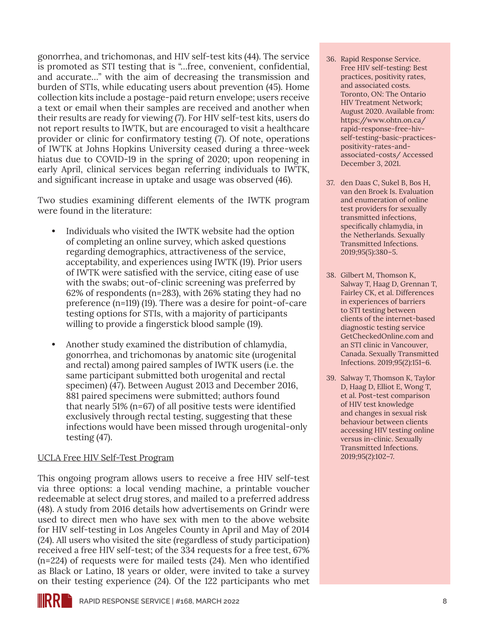gonorrhea, and trichomonas, and HIV self-test kits (44). The service is promoted as STI testing that is "…free, convenient, confidential, and accurate…" with the aim of decreasing the transmission and burden of STIs, while educating users about prevention (45). Home collection kits include a postage-paid return envelope; users receive a text or email when their samples are received and another when their results are ready for viewing (7). For HIV self-test kits, users do not report results to IWTK, but are encouraged to visit a healthcare provider or clinic for confirmatory testing (7). Of note, operations of IWTK at Johns Hopkins University ceased during a three-week hiatus due to COVID-19 in the spring of 2020; upon reopening in early April, clinical services began referring individuals to IWTK, and significant increase in uptake and usage was observed (46).

Two studies examining different elements of the IWTK program were found in the literature:

- **•** Individuals who visited the IWTK website had the option of completing an online survey, which asked questions regarding demographics, attractiveness of the service, acceptability, and experiences using IWTK (19). Prior users of IWTK were satisfied with the service, citing ease of use with the swabs; out-of-clinic screening was preferred by 62% of respondents (n=283), with 26% stating they had no preference (n=119) (19). There was a desire for point-of-care testing options for STIs, with a majority of participants willing to provide a fingerstick blood sample (19).
- **•** Another study examined the distribution of chlamydia, gonorrhea, and trichomonas by anatomic site (urogenital and rectal) among paired samples of IWTK users (i.e. the same participant submitted both urogenital and rectal specimen) (47). Between August 2013 and December 2016, 881 paired specimens were submitted; authors found that nearly 51% (n=67) of all positive tests were identified exclusively through rectal testing, suggesting that these infections would have been missed through urogenital-only testing (47).

#### [UCLA Free HIV Self-Test Program](http://freehivselftests.weebly.com/)

This ongoing program allows users to receive a free HIV self-test via three options: a local vending machine, a printable voucher redeemable at select drug stores, and mailed to a preferred address (48). A study from 2016 details how advertisements on Grindr were used to direct men who have sex with men to the above website for HIV self-testing in Los Angeles County in April and May of 2014 (24). All users who visited the site (regardless of study participation) received a free HIV self-test; of the 334 requests for a free test, 67% (n=224) of requests were for mailed tests (24). Men who identified as Black or Latino, 18 years or older, were invited to take a survey on their testing experience (24). Of the 122 participants who met

- 36. Rapid Response Service. Free HIV self-testing: Best practices, positivity rates, and associated costs. Toronto, ON: The Ontario HIV Treatment Network; August 2020. Available from: [https://www.ohtn.on.ca/](https://www.ohtn.on.ca/rapid-response-free-hiv-self-testing-basic-practices-positivity-rates-and-associated-costs/) [rapid-response-free-hiv](https://www.ohtn.on.ca/rapid-response-free-hiv-self-testing-basic-practices-positivity-rates-and-associated-costs/)[self-testing-basic-practices](https://www.ohtn.on.ca/rapid-response-free-hiv-self-testing-basic-practices-positivity-rates-and-associated-costs/)[positivity-rates-and](https://www.ohtn.on.ca/rapid-response-free-hiv-self-testing-basic-practices-positivity-rates-and-associated-costs/)[associated-costs/](https://www.ohtn.on.ca/rapid-response-free-hiv-self-testing-basic-practices-positivity-rates-and-associated-costs/) Accessed December 3, 2021.
- 37. den Daas C, Sukel B, Bos H, van den Broek Is. Evaluation and enumeration of online test providers for sexually transmitted infections, specifically chlamydia, in the Netherlands. Sexually Transmitted Infections. 2019;95(5):380–5.
- 38. Gilbert M, Thomson K, Salway T, Haag D, Grennan T, Fairley CK, et al. Differences in experiences of barriers to STI testing between clients of the internet-based diagnostic testing service GetCheckedOnline.com and an STI clinic in Vancouver, Canada. Sexually Transmitted Infections. 2019;95(2):151–6.
- 39. Salway T, Thomson K, Taylor D, Haag D, Elliot E, Wong T, et al. Post-test comparison of HIV test knowledge and changes in sexual risk behaviour between clients accessing HIV testing online versus in-clinic. Sexually Transmitted Infections. 2019;95(2):102–7.

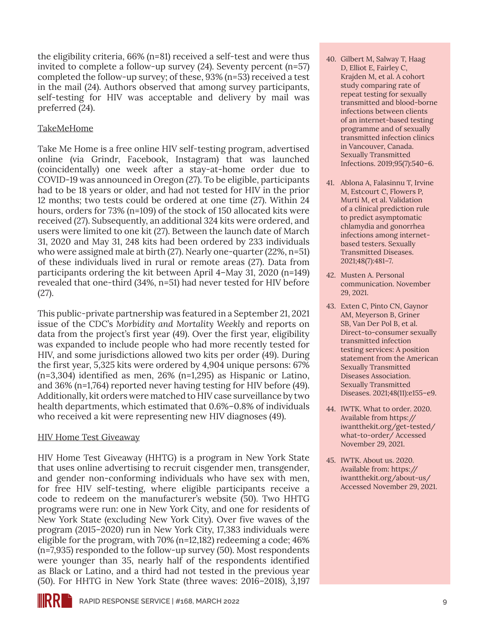the eligibility criteria, 66% (n=81) received a self-test and were thus invited to complete a follow-up survey (24). Seventy percent (n=57) completed the follow-up survey; of these, 93% (n=53) received a test in the mail (24). Authors observed that among survey participants, self-testing for HIV was acceptable and delivery by mail was preferred (24).

#### [TakeMeHome](https://takemehome.org/)

Take Me Home is a free online HIV self-testing program, advertised online (via Grindr, Facebook, Instagram) that was launched (coincidentally) one week after a stay-at-home order due to COVID-19 was announced in Oregon (27). To be eligible, participants had to be 18 years or older, and had not tested for HIV in the prior 12 months; two tests could be ordered at one time (27). Within 24 hours, orders for 73% (n=109) of the stock of 150 allocated kits were received (27). Subsequently, an additional 324 kits were ordered, and users were limited to one kit (27). Between the launch date of March 31, 2020 and May 31, 248 kits had been ordered by 233 individuals who were assigned male at birth (27). Nearly one-quarter (22%, n=51) of these individuals lived in rural or remote areas (27). Data from participants ordering the kit between April 4–May 31, 2020 (n=149) revealed that one-third (34%, n=51) had never tested for HIV before (27).

This public-private partnership was featured in a September 21, 2021 issue of the CDC's *Morbidity and Mortality Weekly* and reports on data from the project's first year (49). Over the first year, eligibility was expanded to include people who had more recently tested for HIV, and some jurisdictions allowed two kits per order (49). During the first year, 5,325 kits were ordered by 4,904 unique persons: 67% (n=3,304) identified as men, 26% (n=1,295) as Hispanic or Latino, and 36% (n=1,764) reported never having testing for HIV before (49). Additionally, kit orders were matched to HIV case surveillance by two health departments, which estimated that 0.6%–0.8% of individuals who received a kit were representing new HIV diagnoses (49).

#### [HIV Home Test Giveaway](https://aidsresource.com/our-services/hiv-sti-testing/hivst/)

HIV Home Test Giveaway (HHTG) is a program in New York State that uses online advertising to recruit cisgender men, transgender, and gender non-conforming individuals who have sex with men, for free HIV self-testing, where eligible participants receive a code to redeem on the manufacturer's website (50). Two HHTG programs were run: one in New York City, and one for residents of New York State (excluding New York City). Over five waves of the program (2015–2020) run in New York City, 17,383 individuals were eligible for the program, with 70% (n=12,182) redeeming a code; 46% (n=7,935) responded to the follow-up survey (50). Most respondents were younger than 35, nearly half of the respondents identified as Black or Latino, and a third had not tested in the previous year (50). For HHTG in New York State (three waves: 2016–2018), 3,197

- 40. Gilbert M, Salway T, Haag D, Elliot E, Fairley C, Krajden M, et al. A cohort study comparing rate of repeat testing for sexually transmitted and blood-borne infections between clients of an internet-based testing programme and of sexually transmitted infection clinics in Vancouver, Canada. Sexually Transmitted Infections. 2019;95(7):540–6.
- 41. Ablona A, Falasinnu T, Irvine M, Estcourt C, Flowers P, Murti M, et al. Validation of a clinical prediction rule to predict asymptomatic chlamydia and gonorrhea infections among internetbased testers. Sexually Transmitted Diseases. 2021;48(7):481–7.
- 42. Musten A. Personal communication. November 29, 2021.
- 43. Exten C, Pinto CN, Gaynor AM, Meyerson B, Griner SB, Van Der Pol B, et al. Direct-to-consumer sexually transmitted infection testing services: A position statement from the American Sexually Transmitted Diseases Association. Sexually Transmitted Diseases. 2021;48(11):e155–e9.
- 44. IWTK. What to order. 2020. Available from [https://](https://iwantthekit.org/get-tested/what-to-order/) [iwantthekit.org/get-tested/](https://iwantthekit.org/get-tested/what-to-order/) [what-to-order/](https://iwantthekit.org/get-tested/what-to-order/) Accessed November 29, 2021.
- 45. IWTK. About us. 2020. Available from: [https://](https://iwantthekit.org/about-us/) [iwantthekit.org/about-us/](https://iwantthekit.org/about-us/) Accessed November 29, 2021.

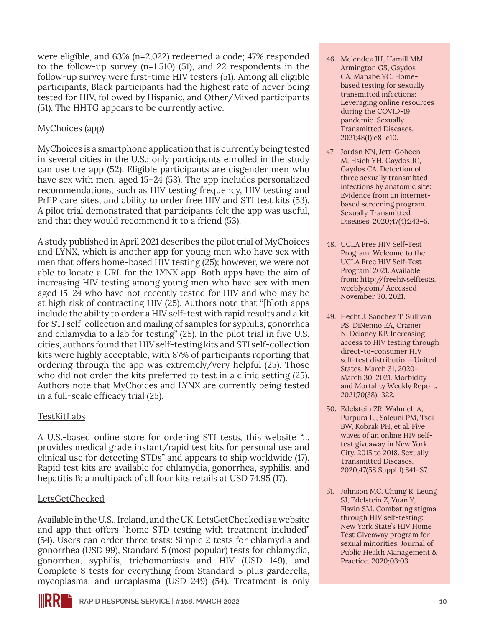were eligible, and 63% (n=2,022) redeemed a code; 47% responded to the follow-up survey (n=1,510) (51), and 22 respondents in the follow-up survey were first-time HIV testers (51). Among all eligible participants, Black participants had the highest rate of never being tested for HIV, followed by Hispanic, and Other/Mixed participants (51). The HHTG appears to be currently active.

#### [MyChoices](http://www.mychoicesapp.com/) (app)

MyChoices is a smartphone application that is currently being tested in several cities in the U.S.; only participants enrolled in the study can use the app (52). Eligible participants are cisgender men who have sex with men, aged 15–24 (53). The app includes personalized recommendations, such as HIV testing frequency, HIV testing and PrEP care sites, and ability to order free HIV and STI test kits (53). A pilot trial demonstrated that participants felt the app was useful, and that they would recommend it to a friend (53).

A study published in April 2021 describes the pilot trial of MyChoices and LYNX, which is another app for young men who have sex with men that offers home-based HIV testing (25); however, we were not able to locate a URL for the LYNX app. Both apps have the aim of increasing HIV testing among young men who have sex with men aged 15–24 who have not recently tested for HIV and who may be at high risk of contracting HIV (25). Authors note that "[b]oth apps include the ability to order a HIV self-test with rapid results and a kit for STI self-collection and mailing of samples for syphilis, gonorrhea and chlamydia to a lab for testing" (25). In the pilot trial in five U.S. cities, authors found that HIV self-testing kits and STI self-collection kits were highly acceptable, with 87% of participants reporting that ordering through the app was extremely/very helpful (25). Those who did not order the kits preferred to test in a clinic setting (25). Authors note that MyChoices and LYNX are currently being tested in a full-scale efficacy trial (25).

#### **[TestKitLabs](https://testkitlabs.com/)**

A U.S.-based online store for ordering STI tests, this website "… provides medical grade instant/rapid test kits for personal use and clinical use for detecting STDs" and appears to ship worldwide (17). Rapid test kits are available for chlamydia, gonorrhea, syphilis, and hepatitis B; a multipack of all four kits retails at USD 74.95 (17).

#### [LetsGetChecked](https://www.letsgetchecked.com/)

Available in the U.S., Ireland, and the UK, LetsGetChecked is a website and app that offers "home STD testing with treatment included" (54). Users can order three tests: Simple 2 tests for chlamydia and gonorrhea (USD 99), Standard 5 (most popular) tests for chlamydia, gonorrhea, syphilis, trichomoniasis and HIV (USD 149), and Complete 8 tests for everything from Standard 5 plus garderella, mycoplasma, and ureaplasma (USD 249) (54). Treatment is only

- 46. Melendez JH, Hamill MM, Armington GS, Gaydos CA, Manabe YC. Homebased testing for sexually transmitted infections: Leveraging online resources during the COVID-19 pandemic. Sexually Transmitted Diseases. 2021;48(1):e8–e10.
- 47. Jordan NN, Jett-Goheen M, Hsieh YH, Gaydos JC, Gaydos CA. Detection of three sexually transmitted infections by anatomic site: Evidence from an internetbased screening program. Sexually Transmitted Diseases. 2020;47(4):243–5.
- 48. UCLA Free HIV Self-Test Program. Welcome to the UCLA Free HIV Self-Test Program! 2021. Available from: [http://freehivselftests.](http://freehivselftests.weebly.com/) [weebly.com/](http://freehivselftests.weebly.com/) Accessed November 30, 2021.
- 49. Hecht J, Sanchez T, Sullivan PS, DiNenno EA, Cramer N, Delaney KP. Increasing access to HIV testing through direct-to-consumer HIV self-test distribution—United States, March 31, 2020– March 30, 2021. Morbidity and Mortality Weekly Report. 2021;70(38):1322.
- 50. Edelstein ZR, Wahnich A, Purpura LJ, Salcuni PM, Tsoi BW, Kobrak PH, et al. Five waves of an online HIV selftest giveaway in New York City, 2015 to 2018. Sexually Transmitted Diseases. 2020;47(5S Suppl 1):S41–S7.
- 51. Johnson MC, Chung R, Leung SJ, Edelstein Z, Yuan Y, Flavin SM. Combating stigma through HIV self-testing: New York State's HIV Home Test Giveaway program for sexual minorities. Journal of Public Health Management & Practice. 2020;03:03.

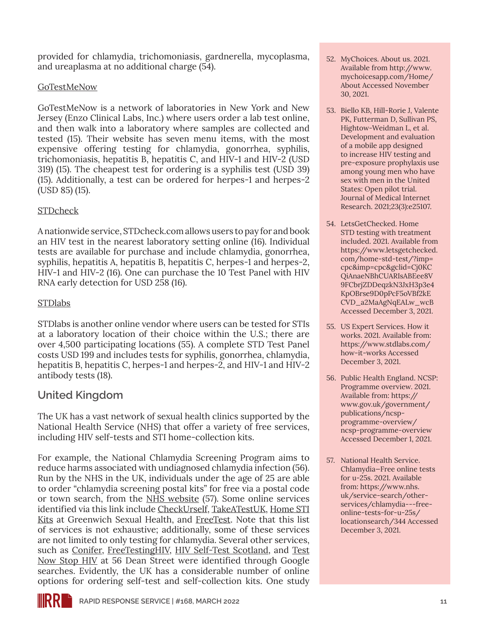provided for chlamydia, trichomoniasis, gardnerella, mycoplasma, and ureaplasma at no additional charge (54).

#### **[GoTestMeNow](https://www.enzoclinicallabs.com/gotestmenow/Home/STD)**

GoTestMeNow is a network of laboratories in New York and New Jersey (Enzo Clinical Labs, Inc.) where users order a lab test online, and then walk into a laboratory where samples are collected and tested (15). Their website has seven menu items, with the most expensive offering testing for chlamydia, gonorrhea, syphilis, trichomoniasis, hepatitis B, hepatitis C, and HIV-1 and HIV-2 (USD 319) (15). The cheapest test for ordering is a syphilis test (USD 39) (15). Additionally, a test can be ordered for herpes-1 and herpes-2 (USD 85) (15).

#### [STDcheck](https://www.stdcheck.com/)

A nationwide service, STDcheck.com allows users to pay for and book an HIV test in the nearest laboratory setting online (16). Individual tests are available for purchase and include chlamydia, gonorrhea, syphilis, hepatitis A, hepatitis B, hepatitis C, herpes-1 and herpes-2, HIV-1 and HIV-2 (16). One can purchase the 10 Test Panel with HIV RNA early detection for USD 258 (16).

#### [STDlabs](https://www.stdlabs.com/)

STDlabs is another online vendor where users can be tested for STIs at a laboratory location of their choice within the U.S.; there are over 4,500 participating locations (55). A complete STD Test Panel costs USD 199 and includes tests for syphilis, gonorrhea, chlamydia, hepatitis B, hepatitis C, herpes-1 and herpes-2, and HIV-1 and HIV-2 antibody tests (18).

## **United Kingdom**

The UK has a vast network of sexual health clinics supported by the National Health Service (NHS) that offer a variety of free services, including HIV self-tests and STI home-collection kits.

For example, the National Chlamydia Screening Program aims to reduce harms associated with undiagnosed chlamydia infection (56). Run by the NHS in the UK, individuals under the age of 25 are able to order "chlamydia screening postal kits" for free via a postal code or town search, from the [NHS website](https://www.nhs.uk/service-search/other-services/chlamydia---free-online-tests-for-u-25s/locationsearch/344) (57). Some online services identified via this link include [CheckUrself,](https://www.checkurself.org.uk/) [TakeATestUK,](https://takeatestuk.com/) [Home STI](https://www.greenwichsexualhealth.org/home_sti_kits/#)  [Kits](https://www.greenwichsexualhealth.org/home_sti_kits/#) at Greenwich Sexual Health, and [FreeTest](https://www.freetest.me/). Note that this list of services is not exhaustive; additionally, some of these services are not limited to only testing for chlamydia. Several other services, such as [Conifer,](https://conifersexhealth.co.uk/services/sti-testing) [FreeTestingHIV](https://freetesting.hiv/), [HIV Self-Test Scotland,](https://www.hivtest.scot/) and [Test](https://www.testnowstophiv.com/)  [Now Stop HIV](https://www.testnowstophiv.com/) at 56 Dean Street were identified through Google searches. Evidently, the UK has a considerable number of online options for ordering self-test and self-collection kits. One study

- 52. MyChoices. About us. 2021. Available from [http://www.](http://www.mychoicesapp.com/Home/About) [mychoicesapp.com/Home/](http://www.mychoicesapp.com/Home/About) [About](http://www.mychoicesapp.com/Home/About) Accessed November 30, 2021.
- 53. Biello KB, Hill-Rorie J, Valente PK, Futterman D, Sullivan PS, Hightow-Weidman L, et al. Development and evaluation of a mobile app designed to increase HIV testing and pre-exposure prophylaxis use among young men who have sex with men in the United States: Open pilot trial. Journal of Medical Internet Research. 2021;23(3):e25107.
- 54. LetsGetChecked. Home STD testing with treatment included. 2021. Available from [https://www.letsgetchecked.](https://www.letsgetchecked.com/home-std-test/?imp=cpc&imp=cpc&gclid=Cj0KCQiAnaeNBhCUARIsABEee8V9FCbrjZDDeqzkN3JxH3p3e4KpOBrse9D0pPcF5oVBf2kECVD_a2MaAgNqEALw_wcB) [com/home-std-test/?imp=](https://www.letsgetchecked.com/home-std-test/?imp=cpc&imp=cpc&gclid=Cj0KCQiAnaeNBhCUARIsABEee8V9FCbrjZDDeqzkN3JxH3p3e4KpOBrse9D0pPcF5oVBf2kECVD_a2MaAgNqEALw_wcB) [cpc&imp=cpc&gclid=Cj0KC](https://www.letsgetchecked.com/home-std-test/?imp=cpc&imp=cpc&gclid=Cj0KCQiAnaeNBhCUARIsABEee8V9FCbrjZDDeqzkN3JxH3p3e4KpOBrse9D0pPcF5oVBf2kECVD_a2MaAgNqEALw_wcB) [QiAnaeNBhCUARIsABEee8V](https://www.letsgetchecked.com/home-std-test/?imp=cpc&imp=cpc&gclid=Cj0KCQiAnaeNBhCUARIsABEee8V9FCbrjZDDeqzkN3JxH3p3e4KpOBrse9D0pPcF5oVBf2kECVD_a2MaAgNqEALw_wcB) [9FCbrjZDDeqzkN3JxH3p3e4](https://www.letsgetchecked.com/home-std-test/?imp=cpc&imp=cpc&gclid=Cj0KCQiAnaeNBhCUARIsABEee8V9FCbrjZDDeqzkN3JxH3p3e4KpOBrse9D0pPcF5oVBf2kECVD_a2MaAgNqEALw_wcB) [KpOBrse9D0pPcF5oVBf2kE](https://www.letsgetchecked.com/home-std-test/?imp=cpc&imp=cpc&gclid=Cj0KCQiAnaeNBhCUARIsABEee8V9FCbrjZDDeqzkN3JxH3p3e4KpOBrse9D0pPcF5oVBf2kECVD_a2MaAgNqEALw_wcB) [CVD\\_a2MaAgNqEALw\\_wcB](https://www.letsgetchecked.com/home-std-test/?imp=cpc&imp=cpc&gclid=Cj0KCQiAnaeNBhCUARIsABEee8V9FCbrjZDDeqzkN3JxH3p3e4KpOBrse9D0pPcF5oVBf2kECVD_a2MaAgNqEALw_wcB) Accessed December 3, 2021.
- 55. US Expert Services. How it works. 2021. Available from: [https://www.stdlabs.com/](https://www.stdlabs.com/how-it-works) [how-it-works](https://www.stdlabs.com/how-it-works) Accessed December 3, 2021.
- 56. Public Health England. NCSP: Programme overview. 2021. Available from: [https://](https://www.gov.uk/government/publications/ncsp-programme-overview/ncsp-programme-overview) [www.gov.uk/government/](https://www.gov.uk/government/publications/ncsp-programme-overview/ncsp-programme-overview) [publications/ncsp](https://www.gov.uk/government/publications/ncsp-programme-overview/ncsp-programme-overview)[programme-overview/](https://www.gov.uk/government/publications/ncsp-programme-overview/ncsp-programme-overview) [ncsp-programme-overview](https://www.gov.uk/government/publications/ncsp-programme-overview/ncsp-programme-overview) Accessed December 1, 2021.
- 57. National Health Service. Chlamydia—Free online tests for u-25s. 2021. Available from: [https://www.nhs.](https://www.nhs.uk/service-search/other-services/chlamydia---free-online-tests-for-u-25s/locationsearch/344) [uk/service-search/other](https://www.nhs.uk/service-search/other-services/chlamydia---free-online-tests-for-u-25s/locationsearch/344)[services/chlamydia---free](https://www.nhs.uk/service-search/other-services/chlamydia---free-online-tests-for-u-25s/locationsearch/344)[online-tests-for-u-25s/](https://www.nhs.uk/service-search/other-services/chlamydia---free-online-tests-for-u-25s/locationsearch/344) [locationsearch/344](https://www.nhs.uk/service-search/other-services/chlamydia---free-online-tests-for-u-25s/locationsearch/344) Accessed December 3, 2021.

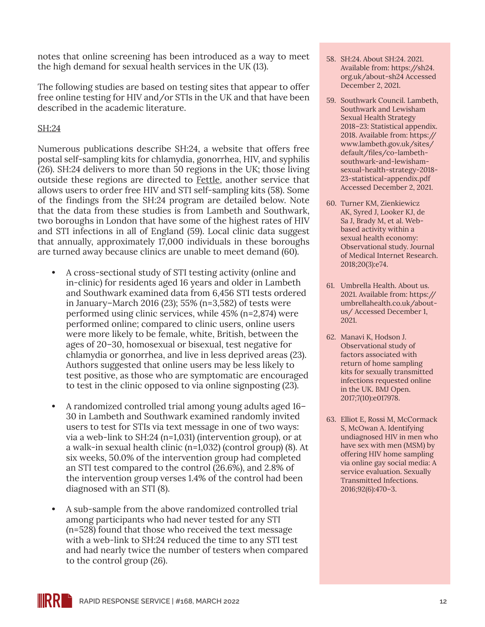notes that online screening has been introduced as a way to meet the high demand for sexual health services in the UK (13).

The following studies are based on testing sites that appear to offer free online testing for HIV and/or STIs in the UK and that have been described in the academic literature.

#### [SH:24](https://sh24.org.uk/)

Numerous publications describe SH:24, a website that offers free postal self-sampling kits for chlamydia, gonorrhea, HIV, and syphilis (26). SH:24 delivers to more than 50 regions in the UK; those living outside these regions are directed to [Fettle,](https://fettle.health/) another service that allows users to order free HIV and STI self-sampling kits (58). Some of the findings from the SH:24 program are detailed below. Note that the data from these studies is from Lambeth and Southwark, two boroughs in London that have some of the highest rates of HIV and STI infections in all of England (59). Local clinic data suggest that annually, approximately 17,000 individuals in these boroughs are turned away because clinics are unable to meet demand (60).

- **•** A cross-sectional study of STI testing activity (online and in-clinic) for residents aged 16 years and older in Lambeth and Southwark examined data from 6,456 STI tests ordered in January–March 2016 (23); 55% (n=3,582) of tests were performed using clinic services, while 45% (n=2,874) were performed online; compared to clinic users, online users were more likely to be female, white, British, between the ages of 20–30, homosexual or bisexual, test negative for chlamydia or gonorrhea, and live in less deprived areas (23). Authors suggested that online users may be less likely to test positive, as those who are symptomatic are encouraged to test in the clinic opposed to via online signposting (23).
- **•** A randomized controlled trial among young adults aged 16– 30 in Lambeth and Southwark examined randomly invited users to test for STIs via text message in one of two ways: via a web-link to SH:24 (n=1,031) (intervention group), or at a walk-in sexual health clinic (n=1,032) (control group) (8). At six weeks, 50.0% of the intervention group had completed an STI test compared to the control (26.6%), and 2.8% of the intervention group verses 1.4% of the control had been diagnosed with an STI (8).
- **•** A sub-sample from the above randomized controlled trial among participants who had never tested for any STI (n=528) found that those who received the text message with a web-link to SH:24 reduced the time to any STI test and had nearly twice the number of testers when compared to the control group (26).
- 58. SH:24. About SH:24. 2021. Available from: [https://sh24.](https://sh24.org.uk/about-sh24) [org.uk/about-sh24](https://sh24.org.uk/about-sh24) Accessed December 2, 2021.
- 59. Southwark Council. Lambeth, Southwark and Lewisham Sexual Health Strategy 2018–23: Statistical appendix. 2018. Available from: [https://](https://www.lambeth.gov.uk/sites/default/files/co-lambeth-southwark-and-lewisham-sexual-health-strategy-2018-23-statistical-appendix.pdf) [www.lambeth.gov.uk/sites/](https://www.lambeth.gov.uk/sites/default/files/co-lambeth-southwark-and-lewisham-sexual-health-strategy-2018-23-statistical-appendix.pdf) [default/files/co-lambeth](https://www.lambeth.gov.uk/sites/default/files/co-lambeth-southwark-and-lewisham-sexual-health-strategy-2018-23-statistical-appendix.pdf)[southwark-and-lewisham](https://www.lambeth.gov.uk/sites/default/files/co-lambeth-southwark-and-lewisham-sexual-health-strategy-2018-23-statistical-appendix.pdf)[sexual-health-strategy-2018-](https://www.lambeth.gov.uk/sites/default/files/co-lambeth-southwark-and-lewisham-sexual-health-strategy-2018-23-statistical-appendix.pdf) [23-statistical-appendix.pdf](https://www.lambeth.gov.uk/sites/default/files/co-lambeth-southwark-and-lewisham-sexual-health-strategy-2018-23-statistical-appendix.pdf) Accessed December 2, 2021.
- 60. Turner KM, Zienkiewicz AK, Syred J, Looker KJ, de Sa J, Brady M, et al. Webbased activity within a sexual health economy: Observational study. Journal of Medical Internet Research. 2018;20(3):e74.
- 61. Umbrella Health. About us. 2021. Available from: [https://](https://umbrellahealth.co.uk/about-us/) [umbrellahealth.co.uk/about](https://umbrellahealth.co.uk/about-us/)[us/](https://umbrellahealth.co.uk/about-us/) Accessed December 1, 2021.
- 62. Manavi K, Hodson J. Observational study of factors associated with return of home sampling kits for sexually transmitted infections requested online in the UK. BMJ Open. 2017;7(10):e017978.
- 63. Elliot E, Rossi M, McCormack S, McOwan A. Identifying undiagnosed HIV in men who have sex with men (MSM) by offering HIV home sampling via online gay social media: A service evaluation. Sexually Transmitted Infections. 2016;92(6):470–3.

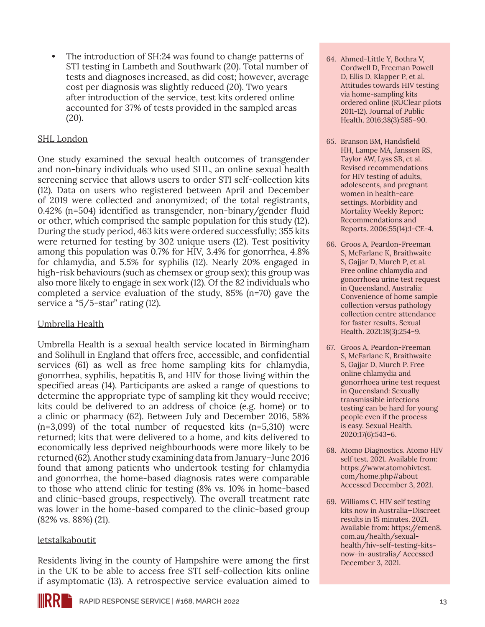**•** The introduction of SH:24 was found to change patterns of STI testing in Lambeth and Southwark (20). Total number of tests and diagnoses increased, as did cost; however, average cost per diagnosis was slightly reduced (20). Two years after introduction of the service, test kits ordered online accounted for 37% of tests provided in the sampled areas (20).

#### [SHL London](https://www.shl.uk/)

One study examined the sexual health outcomes of transgender and non-binary individuals who used SHL, an online sexual health screening service that allows users to order STI self-collection kits (12). Data on users who registered between April and December of 2019 were collected and anonymized; of the total registrants, 0.42% (n=504) identified as transgender, non-binary/gender fluid or other, which comprised the sample population for this study (12). During the study period, 463 kits were ordered successfully; 355 kits were returned for testing by 302 unique users (12). Test positivity among this population was 0.7% for HIV, 3.4% for gonorrhea, 4.8% for chlamydia, and 5.5% for syphilis (12). Nearly 20% engaged in high-risk behaviours (such as chemsex or group sex); this group was also more likely to engage in sex work (12). Of the 82 individuals who completed a service evaluation of the study, 85% (n=70) gave the service a "5/5-star" rating (12).

#### [Umbrella Health](https://kits.umbrellahealth.co.uk/step1.aspx)

Umbrella Health is a sexual health service located in Birmingham and Solihull in England that offers free, accessible, and confidential services (61) as well as free home sampling kits for chlamydia, gonorrhea, syphilis, hepatitis B, and HIV for those living within the specified areas (14). Participants are asked a range of questions to determine the appropriate type of sampling kit they would receive; kits could be delivered to an address of choice (e.g. home) or to a clinic or pharmacy (62). Between July and December 2016, 58%  $(n=3,099)$  of the total number of requested kits  $(n=5,310)$  were returned; kits that were delivered to a home, and kits delivered to economically less deprived neighbourhoods were more likely to be returned (62). Another study examining data from January–June 2016 found that among patients who undertook testing for chlamydia and gonorrhea, the home-based diagnosis rates were comparable to those who attend clinic for testing (8% vs. 10% in home-based and clinic-based groups, respectively). The overall treatment rate was lower in the home-based compared to the clinic-based group (82% vs. 88%) (21).

#### [letstalkaboutit](https://www.letstalkaboutit.nhs.uk/)

Residents living in the county of Hampshire were among the first in the UK to be able to access free STI self-collection kits online if asymptomatic (13). A retrospective service evaluation aimed to

- 64. Ahmed-Little Y, Bothra V, Cordwell D, Freeman Powell D, Ellis D, Klapper P, et al. Attitudes towards HIV testing via home-sampling kits ordered online (RUClear pilots 2011-12). Journal of Public Health. 2016;38(3):585–90.
- 65. Branson BM, Handsfield HH, Lampe MA, Janssen RS, Taylor AW, Lyss SB, et al. Revised recommendations for HIV testing of adults, adolescents, and pregnant women in health-care settings. Morbidity and Mortality Weekly Report: Recommendations and Reports. 2006;55(14):1-CE-4.
- 66. Groos A, Peardon-Freeman S, McFarlane K, Braithwaite S, Gajjar D, Murch P, et al. Free online chlamydia and gonorrhoea urine test request in Queensland, Australia: Convenience of home sample collection versus pathology collection centre attendance for faster results. Sexual Health. 2021;18(3):254–9.
- 67. Groos A, Peardon-Freeman S, McFarlane K, Braithwaite S, Gajjar D, Murch P. Free online chlamydia and gonorrhoea urine test request in Queensland: Sexually transmissible infections testing can be hard for young people even if the process is easy. Sexual Health. 2020;17(6):543–6.
- 68. Atomo Diagnostics. Atomo HIV self test. 2021. Available from: [https://www.atomohivtest.](https://www.atomohivtest.com/home.php#about) [com/home.php#about](https://www.atomohivtest.com/home.php#about) Accessed December 3, 2021.
- 69. Williams C. HIV self testing kits now in Australia—Discreet results in 15 minutes. 2021. Available from: [https://emen8.](https://emen8.com.au/health/sexual-health/hiv-self-testing-kits-now-in-australia/) [com.au/health/sexual](https://emen8.com.au/health/sexual-health/hiv-self-testing-kits-now-in-australia/)[health/hiv-self-testing-kits](https://emen8.com.au/health/sexual-health/hiv-self-testing-kits-now-in-australia/)[now-in-australia/](https://emen8.com.au/health/sexual-health/hiv-self-testing-kits-now-in-australia/) Accessed December 3, 2021.

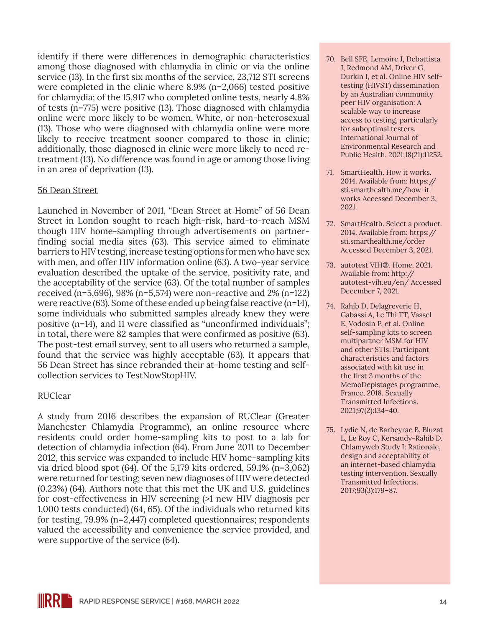identify if there were differences in demographic characteristics among those diagnosed with chlamydia in clinic or via the online service (13). In the first six months of the service, 23,712 STI screens were completed in the clinic where 8.9% (n=2,066) tested positive for chlamydia; of the 15,917 who completed online tests, nearly 4.8% of tests (n=775) were positive (13). Those diagnosed with chlamydia online were more likely to be women, White, or non-heterosexual (13). Those who were diagnosed with chlamydia online were more likely to receive treatment sooner compared to those in clinic; additionally, those diagnosed in clinic were more likely to need retreatment (13). No difference was found in age or among those living in an area of deprivation (13).

#### [56 Dean Street](https://www.dean.st/)

Launched in November of 2011, "Dean Street at Home" of 56 Dean Street in London sought to reach high-risk, hard-to-reach MSM though HIV home-sampling through advertisements on partnerfinding social media sites (63). This service aimed to eliminate barriers to HIV testing, increase testing options for men who have sex with men, and offer HIV information online (63). A two-year service evaluation described the uptake of the service, positivity rate, and the acceptability of the service (63). Of the total number of samples received (n=5,696), 98% (n=5,574) were non-reactive and 2% (n=122) were reactive (63). Some of these ended up being false reactive (n=14), some individuals who submitted samples already knew they were positive (n=14), and 11 were classified as "unconfirmed individuals"; in total, there were 82 samples that were confirmed as positive (63). The post-test email survey, sent to all users who returned a sample, found that the service was highly acceptable (63). It appears that 56 Dean Street has since rebranded their at-home testing and selfcollection services to TestNowStopHIV.

#### RUClear

A study from 2016 describes the expansion of RUClear (Greater Manchester Chlamydia Programme), an online resource where residents could order home-sampling kits to post to a lab for detection of chlamydia infection (64). From June 2011 to December 2012, this service was expanded to include HIV home-sampling kits via dried blood spot (64). Of the 5,179 kits ordered, 59.1% (n=3,062) were returned for testing; seven new diagnoses of HIV were detected (0.23%) (64). Authors note that this met the UK and U.S. guidelines for cost-effectiveness in HIV screening (>1 new HIV diagnosis per 1,000 tests conducted) (64, 65). Of the individuals who returned kits for testing, 79.9% (n=2,447) completed questionnaires; respondents valued the accessibility and convenience the service provided, and were supportive of the service (64).

- 70. Bell SFE, Lemoire J, Debattista J, Redmond AM, Driver G, Durkin I, et al. Online HIV selftesting (HIVST) dissemination by an Australian community peer HIV organisation: A scalable way to increase access to testing, particularly for suboptimal testers. International Journal of Environmental Research and Public Health. 2021;18(21):11252.
- 71. SmartHealth. How it works. 2014. Available from: [https://](https://sti.smarthealth.me/how-it-works) [sti.smarthealth.me/how-it](https://sti.smarthealth.me/how-it-works)[works](https://sti.smarthealth.me/how-it-works) Accessed December 3, 2021.
- 72. SmartHealth. Select a product. 2014. Available from: [https://](https://sti.smarthealth.me/order) [sti.smarthealth.me/order](https://sti.smarthealth.me/order) Accessed December 3, 2021.
- 73. autotest VIH®. Home. 2021. Available from: [http://](http://autotest-vih.eu/en/) [autotest-vih.eu/en/](http://autotest-vih.eu/en/) Accessed December 7, 2021.
- 74. Rahib D, Delagreverie H, Gabassi A, Le Thi TT, Vassel E, Vodosin P, et al. Online self-sampling kits to screen multipartner MSM for HIV and other STIs: Participant characteristics and factors associated with kit use in the first 3 months of the MemoDepistages programme, France, 2018. Sexually Transmitted Infections. 2021;97(2):134–40.
- 75. Lydie N, de Barbeyrac B, Bluzat L, Le Roy C, Kersaudy-Rahib D. Chlamyweb Study I: Rationale, design and acceptability of an internet-based chlamydia testing intervention. Sexually Transmitted Infections. 2017;93(3):179–87.

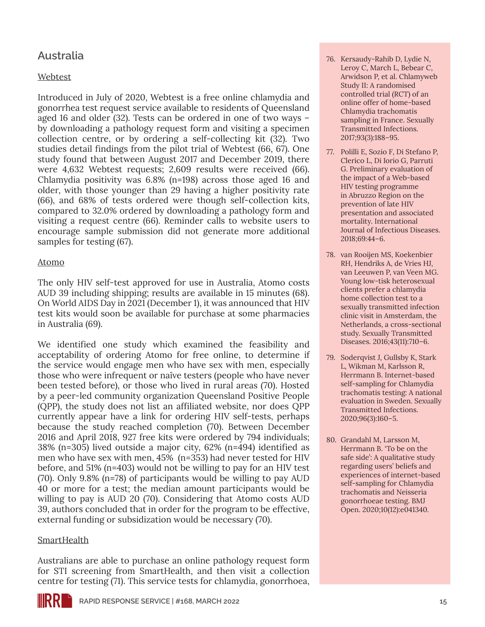## **Australia**

#### [Webtest](https://webtest.health.qld.gov.au/)

Introduced in July of 2020, Webtest is a free online chlamydia and gonorrhea test request service available to residents of Queensland aged 16 and older (32). Tests can be ordered in one of two ways – by downloading a pathology request form and visiting a specimen collection centre, or by ordering a self-collecting kit (32). Two studies detail findings from the pilot trial of Webtest (66, 67). One study found that between August 2017 and December 2019, there were 4,632 Webtest requests; 2,609 results were received (66). Chlamydia positivity was 6.8% (n=198) across those aged 16 and older, with those younger than 29 having a higher positivity rate (66), and 68% of tests ordered were though self-collection kits, compared to 32.0% ordered by downloading a pathology form and visiting a request centre (66). Reminder calls to website users to encourage sample submission did not generate more additional samples for testing (67).

#### [Atomo](https://www.atomohivtest.com/home.php)

The only HIV self-test approved for use in Australia, Atomo costs AUD 39 including shipping; results are available in 15 minutes (68). On World AIDS Day in 2021 (December 1), it was announced that HIV test kits would soon be available for purchase at some pharmacies in Australia (69).

We identified one study which examined the feasibility and acceptability of ordering Atomo for free online, to determine if the service would engage men who have sex with men, especially those who were infrequent or naïve testers (people who have never been tested before), or those who lived in rural areas (70). Hosted by a peer-led community organization Queensland Positive People (QPP), the study does not list an affiliated website, nor does QPP currently appear have a link for ordering HIV self-tests, perhaps because the study reached completion (70). Between December 2016 and April 2018, 927 free kits were ordered by 794 individuals; 38% (n=305) lived outside a major city, 62% (n=494) identified as men who have sex with men, 45% (n=353) had never tested for HIV before, and 51% (n=403) would not be willing to pay for an HIV test (70). Only 9.8% (n=78) of participants would be willing to pay AUD 40 or more for a test; the median amount participants would be willing to pay is AUD 20 (70). Considering that Atomo costs AUD 39, authors concluded that in order for the program to be effective, external funding or subsidization would be necessary (70).

#### **[SmartHealth](https://sti.smarthealth.me/)**

Australians are able to purchase an online pathology request form for STI screening from SmartHealth, and then visit a collection centre for testing (71). This service tests for chlamydia, gonorrhoea,

- 76. Kersaudy-Rahib D, Lydie N, Leroy C, March L, Bebear C, Arwidson P, et al. Chlamyweb Study II: A randomised controlled trial (RCT) of an online offer of home-based Chlamydia trachomatis sampling in France. Sexually Transmitted Infections. 2017;93(3):188–95.
- 77. Polilli E, Sozio F, Di Stefano P, Clerico L, Di Iorio G, Parruti G. Preliminary evaluation of the impact of a Web-based HIV testing programme in Abruzzo Region on the prevention of late HIV presentation and associated mortality. International Journal of Infectious Diseases. 2018;69:44–6.
- 78. van Rooijen MS, Koekenbier RH, Hendriks A, de Vries HJ, van Leeuwen P, van Veen MG. Young low-tisk heterosexual clients prefer a chlamydia home collection test to a sexually transmitted infection clinic visit in Amsterdam, the Netherlands, a cross-sectional study. Sexually Transmitted Diseases. 2016;43(11):710–6.
- 79. Soderqvist J, Gullsby K, Stark L, Wikman M, Karlsson R, Herrmann B. Internet-based self-sampling for Chlamydia trachomatis testing: A national evaluation in Sweden. Sexually Transmitted Infections. 2020;96(3):160–5.
- 80. Grandahl M, Larsson M, Herrmann B. 'To be on the safe side': A qualitative study regarding users' beliefs and experiences of internet-based self-sampling for Chlamydia trachomatis and Neisseria gonorrhoeae testing. BMJ Open. 2020;10(12):e041340.

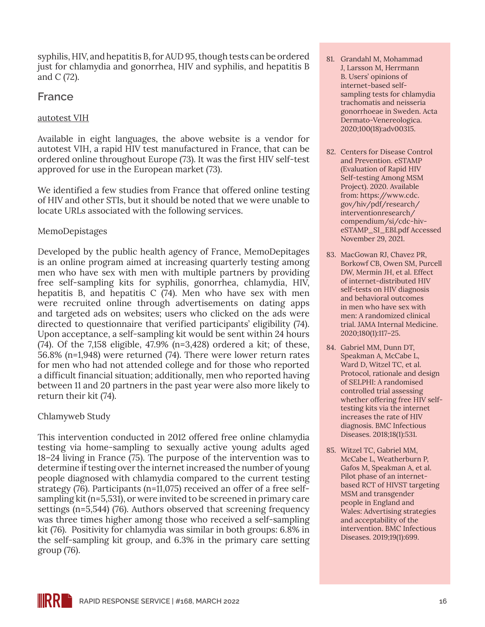syphilis, HIV, and hepatitis B, for AUD 95, though tests can be ordered just for chlamydia and gonorrhea, HIV and syphilis, and hepatitis B and C (72).

### **France**

#### [autotest VIH](http://autotest-vih.eu/en/)

Available in eight languages, the above website is a vendor for autotest VIH, a rapid HIV test manufactured in France, that can be ordered online throughout Europe (73). It was the first HIV self-test approved for use in the European market (73).

We identified a few studies from France that offered online testing of HIV and other STIs, but it should be noted that we were unable to locate URLs associated with the following services.

#### MemoDepistages

Developed by the public health agency of France, MemoDepitages is an online program aimed at increasing quarterly testing among men who have sex with men with multiple partners by providing free self-sampling kits for syphilis, gonorrhea, chlamydia, HIV, hepatitis B, and hepatitis C (74). Men who have sex with men were recruited online through advertisements on dating apps and targeted ads on websites; users who clicked on the ads were directed to questionnaire that verified participants' eligibility (74). Upon acceptance, a self-sampling kit would be sent within 24 hours (74). Of the 7,158 eligible, 47.9% (n=3,428) ordered a kit; of these, 56.8% (n=1,948) were returned (74). There were lower return rates for men who had not attended college and for those who reported a difficult financial situation; additionally, men who reported having between 11 and 20 partners in the past year were also more likely to return their kit (74).

#### Chlamyweb Study

This intervention conducted in 2012 offered free online chlamydia testing via home-sampling to sexually active young adults aged 18–24 living in France (75). The purpose of the intervention was to determine if testing over the internet increased the number of young people diagnosed with chlamydia compared to the current testing strategy (76). Participants (n=11,075) received an offer of a free selfsampling kit (n=5,531), or were invited to be screened in primary care settings (n=5,544) (76). Authors observed that screening frequency was three times higher among those who received a self-sampling kit (76). Positivity for chlamydia was similar in both groups: 6.8% in the self-sampling kit group, and 6.3% in the primary care setting group (76).

- 81. Grandahl M, Mohammad J, Larsson M, Herrmann B. Users' opinions of internet-based selfsampling tests for chlamydia trachomatis and neisseria gonorrhoeae in Sweden. Acta Dermato-Venereologica. 2020;100(18):adv00315.
- 82. Centers for Disease Control and Prevention. eSTAMP (Evaluation of Rapid HIV Self-testing Among MSM Project). 2020. Available from: [https://www.cdc.](https://www.cdc.gov/hiv/pdf/research/interventionresearch/compendium/si/cdc-hiv-eSTAMP_SI_EBI.pdf) [gov/hiv/pdf/research/](https://www.cdc.gov/hiv/pdf/research/interventionresearch/compendium/si/cdc-hiv-eSTAMP_SI_EBI.pdf) [interventionresearch/](https://www.cdc.gov/hiv/pdf/research/interventionresearch/compendium/si/cdc-hiv-eSTAMP_SI_EBI.pdf) [compendium/si/cdc-hiv](https://www.cdc.gov/hiv/pdf/research/interventionresearch/compendium/si/cdc-hiv-eSTAMP_SI_EBI.pdf)[eSTAMP\\_SI\\_EBI.pdf](https://www.cdc.gov/hiv/pdf/research/interventionresearch/compendium/si/cdc-hiv-eSTAMP_SI_EBI.pdf) Accessed November 29, 2021.
- 83. MacGowan RJ, Chavez PR, Borkowf CB, Owen SM, Purcell DW, Mermin JH, et al. Effect of internet-distributed HIV self-tests on HIV diagnosis and behavioral outcomes in men who have sex with men: A randomized clinical trial. JAMA Internal Medicine. 2020;180(1):117–25.
- 84. Gabriel MM, Dunn DT, Speakman A, McCabe L, Ward D, Witzel TC, et al. Protocol, rationale and design of SELPHI: A randomised controlled trial assessing whether offering free HIV selftesting kits via the internet increases the rate of HIV diagnosis. BMC Infectious Diseases. 2018;18(1):531.
- 85. Witzel TC, Gabriel MM, McCabe L, Weatherburn P, Gafos M, Speakman A, et al. Pilot phase of an internetbased RCT of HIVST targeting MSM and transgender people in England and Wales: Advertising strategies and acceptability of the intervention. BMC Infectious Diseases. 2019;19(1):699.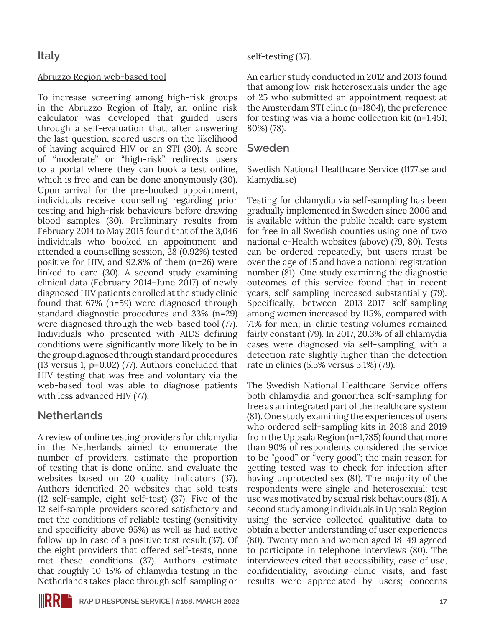#### [Abruzzo Region web-based tool](http://www.failtestanchetu.it/)

To increase screening among high-risk groups in the Abruzzo Region of Italy, an online risk calculator was developed that guided users through a self-evaluation that, after answering the last question, scored users on the likelihood of having acquired HIV or an STI (30). A score of "moderate" or "high-risk" redirects users to a portal where they can book a test online, which is free and can be done anonymously (30). Upon arrival for the pre-booked appointment, individuals receive counselling regarding prior testing and high-risk behaviours before drawing blood samples (30). Preliminary results from February 2014 to May 2015 found that of the 3,046 individuals who booked an appointment and attended a counselling session, 28 (0.92%) tested positive for HIV, and 92.8% of them (n=26) were linked to care (30). A second study examining clinical data (February 2014–June 2017) of newly diagnosed HIV patients enrolled at the study clinic found that 67% (n=59) were diagnosed through standard diagnostic procedures and 33% (n=29) were diagnosed through the web-based tool (77). Individuals who presented with AIDS-defining conditions were significantly more likely to be in the group diagnosed through standard procedures (13 versus 1, p=0.02) (77). Authors concluded that HIV testing that was free and voluntary via the web-based tool was able to diagnose patients with less advanced HIV (77).

## **Netherlands**

A review of online testing providers for chlamydia in the Netherlands aimed to enumerate the number of providers, estimate the proportion of testing that is done online, and evaluate the websites based on 20 quality indicators (37). Authors identified 20 websites that sold tests (12 self-sample, eight self-test) (37). Five of the 12 self-sample providers scored satisfactory and met the conditions of reliable testing (sensitivity and specificity above 95%) as well as had active follow-up in case of a positive test result (37). Of the eight providers that offered self-tests, none met these conditions (37). Authors estimate that roughly 10–15% of chlamydia testing in the Netherlands takes place through self-sampling or

#### self-testing (37).

An earlier study conducted in 2012 and 2013 found that among low-risk heterosexuals under the age of 25 who submitted an appointment request at the Amsterdam STI clinic (n=1804), the preference for testing was via a home collection kit (n=1,451; 80%) (78).

#### **Sweden**

Swedish National Healthcare Service [\(1177.se](https://www.1177.se/) and [klamydia.se\)](https://www.klamydia.se/)

Testing for chlamydia via self-sampling has been gradually implemented in Sweden since 2006 and is available within the public health care system for free in all Swedish counties using one of two national e-Health websites (above) (79, 80). Tests can be ordered repeatedly, but users must be over the age of 15 and have a national registration number (81). One study examining the diagnostic outcomes of this service found that in recent years, self-sampling increased substantially (79). Specifically, between 2013–2017 self-sampling among women increased by 115%, compared with 71% for men; in-clinic testing volumes remained fairly constant (79). In 2017, 20.3% of all chlamydia cases were diagnosed via self-sampling, with a detection rate slightly higher than the detection rate in clinics (5.5% versus 5.1%) (79).

The Swedish National Healthcare Service offers both chlamydia and gonorrhea self-sampling for free as an integrated part of the healthcare system (81). One study examining the experiences of users who ordered self-sampling kits in 2018 and 2019 from the Uppsala Region (n=1,785) found that more than 90% of respondents considered the service to be "good" or "very good"; the main reason for getting tested was to check for infection after having unprotected sex (81). The majority of the respondents were single and heterosexual; test use was motivated by sexual risk behaviours (81). A second study among individuals in Uppsala Region using the service collected qualitative data to obtain a better understanding of user experiences (80). Twenty men and women aged 18–49 agreed to participate in telephone interviews (80). The interviewees cited that accessibility, ease of use, confidentiality, avoiding clinic visits, and fast results were appreciated by users; concerns